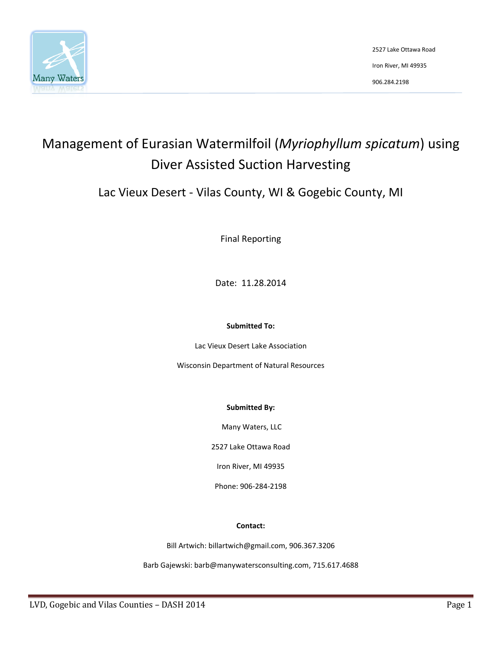

# Management of Eurasian Watermilfoil (*Myriophyllum spicatum*) using Diver Assisted Suction Harvesting

Lac Vieux Desert - Vilas County, WI & Gogebic County, MI

Final Reporting

Date: 11.28.2014

#### **Submitted To:**

Lac Vieux Desert Lake Association

Wisconsin Department of Natural Resources

#### **Submitted By:**

Many Waters, LLC

2527 Lake Ottawa Road

Iron River, MI 49935

Phone: 906-284-2198

#### **Contact:**

Bill Artwich: billartwich@gmail.com, 906.367.3206

Barb Gajewski: barb@manywatersconsulting.com, 715.617.4688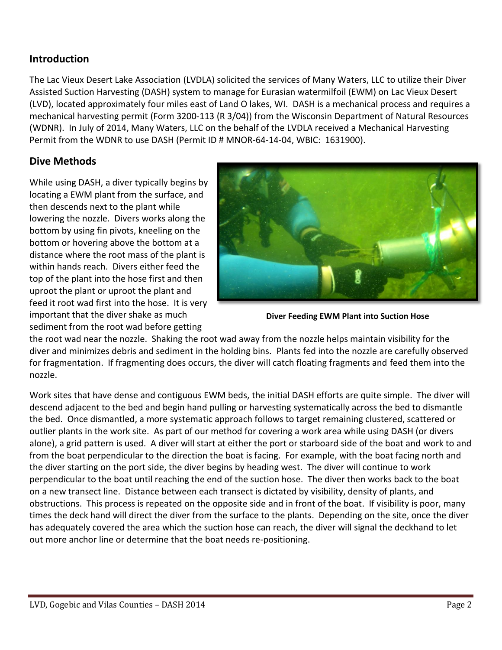## **Introduction**

The Lac Vieux Desert Lake Association (LVDLA) solicited the services of Many Waters, LLC to utilize their Diver Assisted Suction Harvesting (DASH) system to manage for Eurasian watermilfoil (EWM) on Lac Vieux Desert (LVD), located approximately four miles east of Land O lakes, WI. DASH is a mechanical process and requires a mechanical harvesting permit (Form 3200-113 (R 3/04)) from the Wisconsin Department of Natural Resources (WDNR). In July of 2014, Many Waters, LLC on the behalf of the LVDLA received a Mechanical Harvesting Permit from the WDNR to use DASH (Permit ID # MNOR-64-14-04, WBIC: 1631900).

## **Dive Methods**

While using DASH, a diver typically begins by locating a EWM plant from the surface, and then descends next to the plant while lowering the nozzle. Divers works along the bottom by using fin pivots, kneeling on the bottom or hovering above the bottom at a distance where the root mass of the plant is within hands reach. Divers either feed the top of the plant into the hose first and then uproot the plant or uproot the plant and feed it root wad first into the hose. It is very important that the diver shake as much sediment from the root wad before getting



**Diver Feeding EWM Plant into Suction Hose**

the root wad near the nozzle. Shaking the root wad away from the nozzle helps maintain visibility for the diver and minimizes debris and sediment in the holding bins. Plants fed into the nozzle are carefully observed for fragmentation. If fragmenting does occurs, the diver will catch floating fragments and feed them into the nozzle.

Work sites that have dense and contiguous EWM beds, the initial DASH efforts are quite simple. The diver will descend adjacent to the bed and begin hand pulling or harvesting systematically across the bed to dismantle the bed. Once dismantled, a more systematic approach follows to target remaining clustered, scattered or outlier plants in the work site. As part of our method for covering a work area while using DASH (or divers alone), a grid pattern is used. A diver will start at either the port or starboard side of the boat and work to and from the boat perpendicular to the direction the boat is facing. For example, with the boat facing north and the diver starting on the port side, the diver begins by heading west. The diver will continue to work perpendicular to the boat until reaching the end of the suction hose. The diver then works back to the boat on a new transect line. Distance between each transect is dictated by visibility, density of plants, and obstructions. This process is repeated on the opposite side and in front of the boat. If visibility is poor, many times the deck hand will direct the diver from the surface to the plants. Depending on the site, once the diver has adequately covered the area which the suction hose can reach, the diver will signal the deckhand to let out more anchor line or determine that the boat needs re-positioning.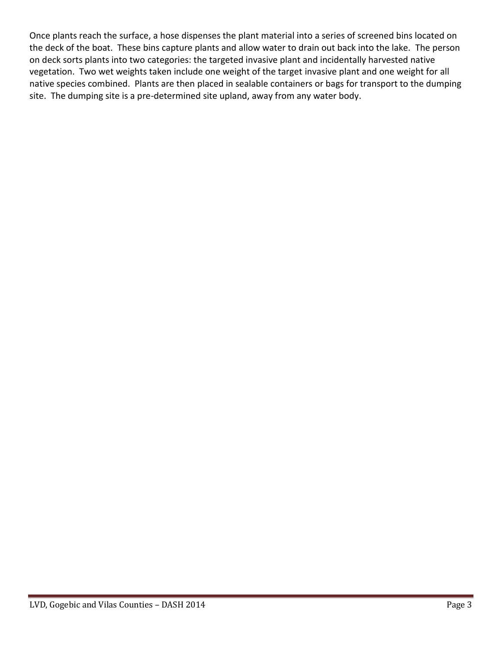Once plants reach the surface, a hose dispenses the plant material into a series of screened bins located on the deck of the boat. These bins capture plants and allow water to drain out back into the lake. The person on deck sorts plants into two categories: the targeted invasive plant and incidentally harvested native vegetation. Two wet weights taken include one weight of the target invasive plant and one weight for all native species combined. Plants are then placed in sealable containers or bags for transport to the dumping site. The dumping site is a pre-determined site upland, away from any water body.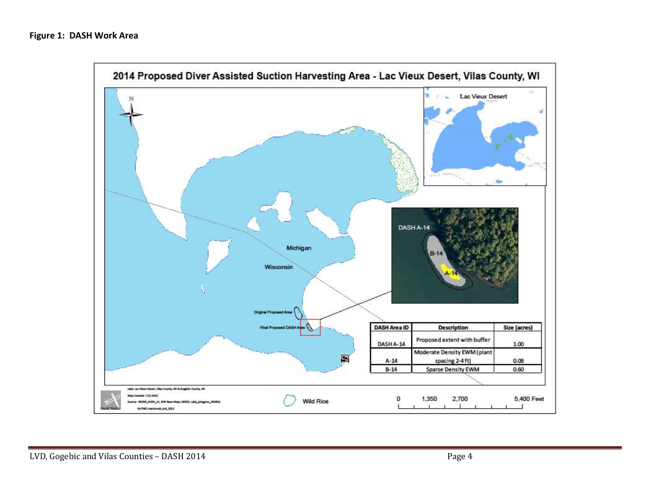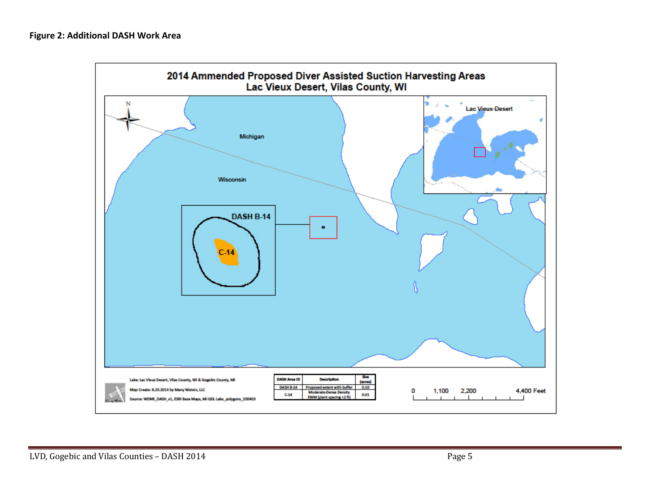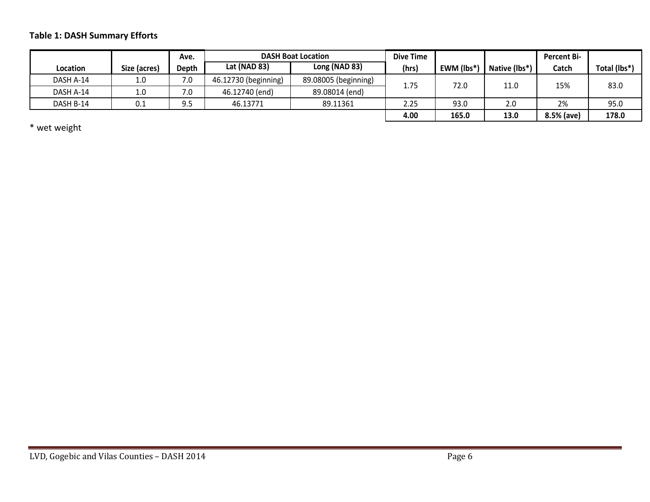## **Table 1: DASH Summary Efforts**

|           |              | Ave.  | <b>DASH Boat Location</b> |                      | <b>Dive Time</b> |            |               | <b>Percent Bi-</b> |              |
|-----------|--------------|-------|---------------------------|----------------------|------------------|------------|---------------|--------------------|--------------|
| Location  | Size (acres) | Depth | Lat (NAD 83)              | Long (NAD 83)        | (hrs)            | EWM (lbs*) | Native (lbs*) | Catch              | Total (lbs*) |
| DASH A-14 | 1.0          | 7.0   | 46.12730 (beginning)      | 89.08005 (beginning) | 1.75             | 72.0       | 11.0          | 15%                | 83.0         |
| DASH A-14 | 1.0          | 7.0   | 46.12740 (end)            | 89.08014 (end)       |                  |            |               |                    |              |
| DASH B-14 | $0.1\,$      | 9.5   | 46.13771                  | 89.11361             | 2.25             | 93.0       | 2.0           | 2%                 | 95.0         |
|           |              |       |                           |                      | 4.00             | 165.0      | 13.0          | 8.5% (ave)         | 178.0        |

\* wet weight